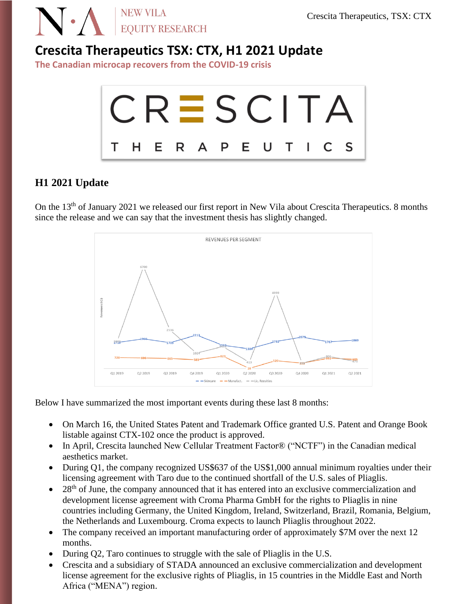

## **Crescita Therapeutics TSX: CTX, H1 2021 Update**

**The Canadian microcap recovers from the COVID-19 crisis**



### **H1 2021 Update**

On the 13<sup>th</sup> of January 2021 we released our first report in New Vila about Crescita Therapeutics. 8 months since the release and we can say that the investment thesis has slightly changed.



Below I have summarized the most important events during these last 8 months:

- On March 16, the United States Patent and Trademark Office granted U.S. Patent and Orange Book listable against CTX-102 once the product is approved.
- In April, Crescita launched New Cellular Treatment Factor® ("NCTF") in the Canadian medical aesthetics market.
- During Q1, the company recognized US\$637 of the US\$1,000 annual minimum royalties under their licensing agreement with Taro due to the continued shortfall of the U.S. sales of Pliaglis.
- 28<sup>th</sup> of June, the company announced that it has entered into an exclusive commercialization and development license agreement with Croma Pharma GmbH for the rights to Pliaglis in nine countries including Germany, the United Kingdom, Ireland, Switzerland, Brazil, Romania, Belgium, the Netherlands and Luxembourg. Croma expects to launch Pliaglis throughout 2022.
- The company received an important manufacturing order of approximately \$7M over the next 12 months.
- During Q2, Taro continues to struggle with the sale of Pliaglis in the U.S.
- Crescita and a subsidiary of STADA announced an exclusive commercialization and development license agreement for the exclusive rights of Pliaglis, in 15 countries in the Middle East and North Africa ("MENA") region.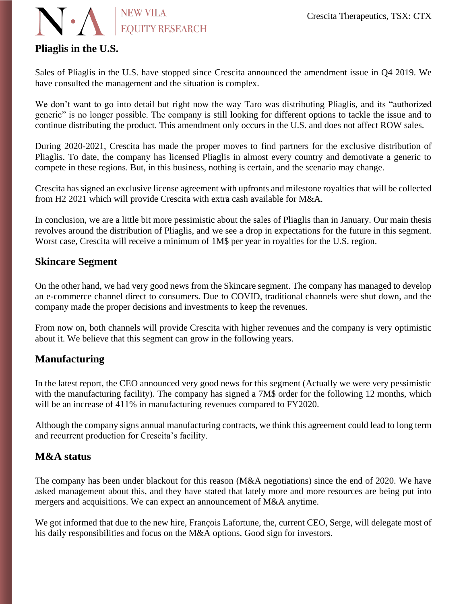

## **Pliaglis in the U.S.**

Sales of Pliaglis in the U.S. have stopped since Crescita announced the amendment issue in Q4 2019. We have consulted the management and the situation is complex.

We don't want to go into detail but right now the way Taro was distributing Pliaglis, and its "authorized" generic" is no longer possible. The company is still looking for different options to tackle the issue and to continue distributing the product. This amendment only occurs in the U.S. and does not affect ROW sales.

During 2020-2021, Crescita has made the proper moves to find partners for the exclusive distribution of Pliaglis. To date, the company has licensed Pliaglis in almost every country and demotivate a generic to compete in these regions. But, in this business, nothing is certain, and the scenario may change.

Crescita has signed an exclusive license agreement with upfronts and milestone royalties that will be collected from H2 2021 which will provide Crescita with extra cash available for M&A.

In conclusion, we are a little bit more pessimistic about the sales of Pliaglis than in January. Our main thesis revolves around the distribution of Pliaglis, and we see a drop in expectations for the future in this segment. Worst case, Crescita will receive a minimum of 1M\$ per year in royalties for the U.S. region.

#### **Skincare Segment**

On the other hand, we had very good news from the Skincare segment. The company has managed to develop an e-commerce channel direct to consumers. Due to COVID, traditional channels were shut down, and the company made the proper decisions and investments to keep the revenues.

From now on, both channels will provide Crescita with higher revenues and the company is very optimistic about it. We believe that this segment can grow in the following years.

#### **Manufacturing**

In the latest report, the CEO announced very good news for this segment (Actually we were very pessimistic with the manufacturing facility). The company has signed a 7M\$ order for the following 12 months, which will be an increase of 411% in manufacturing revenues compared to FY2020.

Although the company signs annual manufacturing contracts, we think this agreement could lead to long term and recurrent production for Crescita's facility.

#### **M&A status**

The company has been under blackout for this reason (M&A negotiations) since the end of 2020. We have asked management about this, and they have stated that lately more and more resources are being put into mergers and acquisitions. We can expect an announcement of M&A anytime.

We got informed that due to the new hire, François Lafortune, the, current CEO, Serge, will delegate most of his daily responsibilities and focus on the M&A options. Good sign for investors.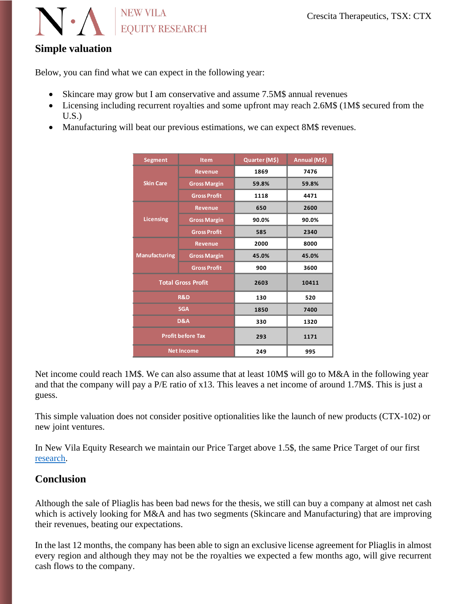

## **Simple valuation**

Below, you can find what we can expect in the following year:

- Skincare may grow but I am conservative and assume 7.5M\$ annual revenues
- Licensing including recurrent royalties and some upfront may reach 2.6M\$ (1M\$ secured from the U.S.)
- Manufacturing will beat our previous estimations, we can expect 8M\$ revenues.

| Segment                   | <b>Item</b>         | Quarter (M\$) | Annual (M\$) |
|---------------------------|---------------------|---------------|--------------|
| <b>Skin Care</b>          | <b>Revenue</b>      | 1869          | 7476         |
|                           | <b>Gross Margin</b> | 59.8%         | 59.8%        |
|                           | <b>Gross Profit</b> | 1118          | 4471         |
| <b>Licensing</b>          | <b>Revenue</b>      | 650           | 2600         |
|                           | <b>Gross Margin</b> | 90.0%         | 90.0%        |
|                           | <b>Gross Profit</b> | 585           | 2340         |
| <b>Manufacturing</b>      | <b>Revenue</b>      | 2000          | 8000         |
|                           | <b>Gross Margin</b> | 45.0%         | 45.0%        |
|                           | <b>Gross Profit</b> | 900           | 3600         |
| <b>Total Gross Profit</b> |                     | 2603          | 10411        |
| <b>R&amp;D</b>            |                     | 130           | 520          |
| <b>SGA</b>                |                     | 1850          | 7400         |
| D&A                       |                     | 330           | 1320         |
| <b>Profit before Tax</b>  |                     | 293           | 1171         |
| <b>Net Income</b>         |                     | 249           | 995          |

Net income could reach 1M\$. We can also assume that at least 10M\$ will go to M&A in the following year and that the company will pay a P/E ratio of x13. This leaves a net income of around 1.7M\$. This is just a guess.

This simple valuation does not consider positive optionalities like the launch of new products (CTX-102) or new joint ventures.

In New Vila Equity Research we maintain our Price Target above 1.5\$, the same Price Target of our first [research.](https://af3be052-bcb9-44db-b801-f59119040610.filesusr.com/ugd/7c10de_f85ac580e60a44e199bdce3a8640101f.pdf)

### **Conclusion**

Although the sale of Pliaglis has been bad news for the thesis, we still can buy a company at almost net cash which is actively looking for M&A and has two segments (Skincare and Manufacturing) that are improving their revenues, beating our expectations.

In the last 12 months, the company has been able to sign an exclusive license agreement for Pliaglis in almost every region and although they may not be the royalties we expected a few months ago, will give recurrent cash flows to the company.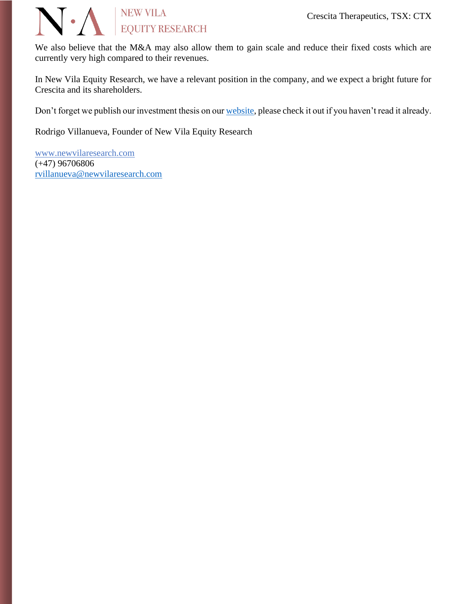

We also believe that the M&A may also allow them to gain scale and reduce their fixed costs which are currently very high compared to their revenues.

In New Vila Equity Research, we have a relevant position in the company, and we expect a bright future for Crescita and its shareholders.

Don't forget we publish our investment thesis on ou[r website,](https://www.newvilaresearch.com/research) please check it out if you haven't read it already.

Rodrigo Villanueva, Founder of New Vila Equity Research

[www.newvilaresearch.com](file:///C:/Users/rovil/Downloads/www.newvilaresearch.com) (+47) 96706806 [rvillanueva@newvilaresearch.com](mailto:rvillanueva@newvilaresearch.com)